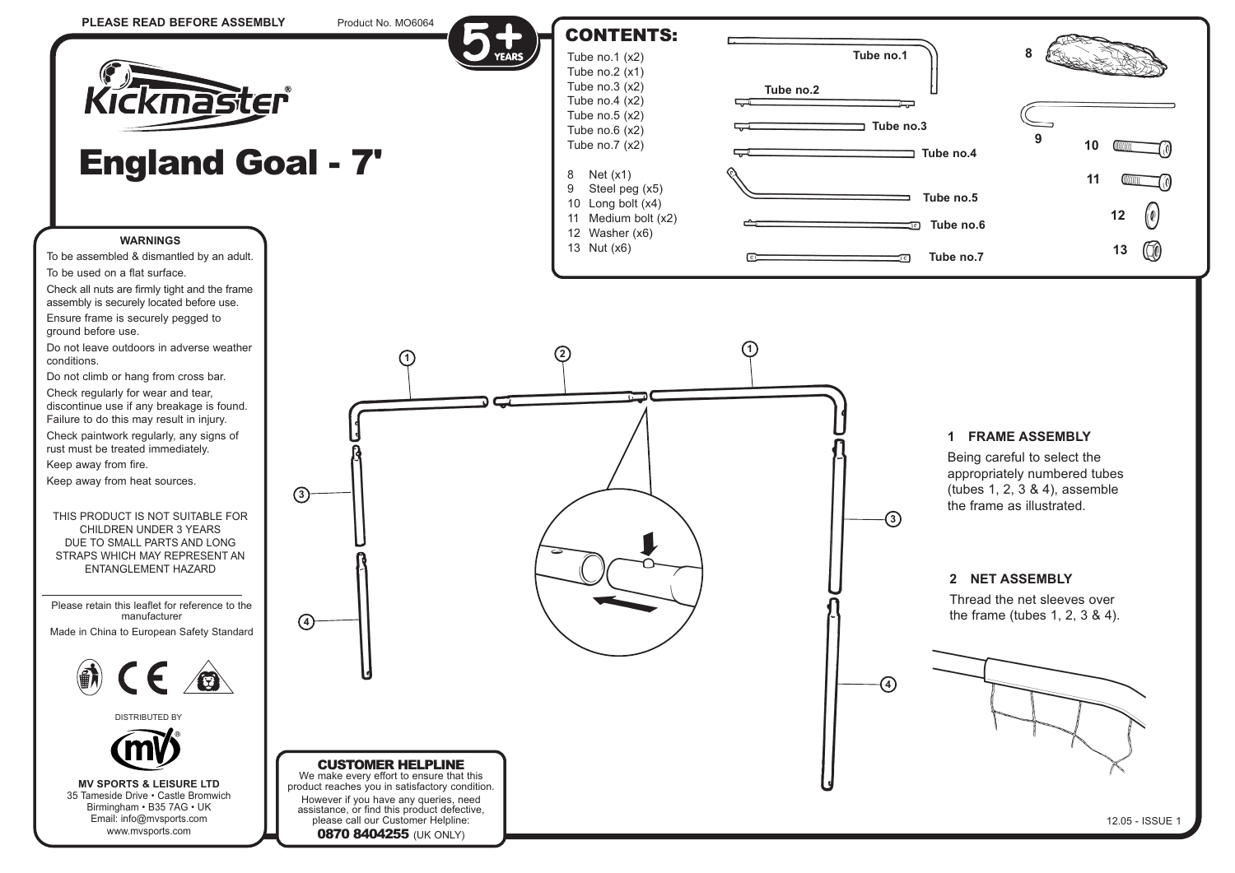